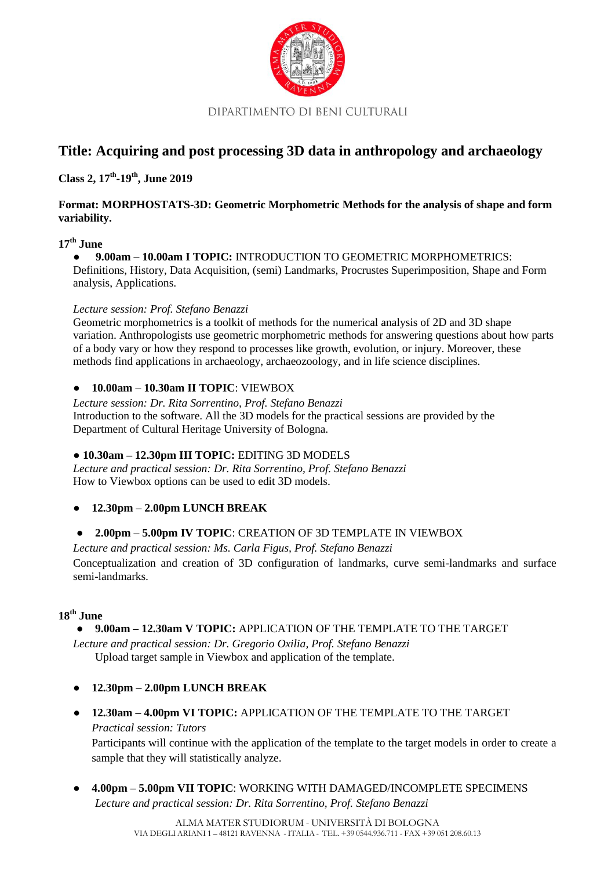

DIPARTIMENTO DI BENI CULTURALI

# **Title: Acquiring and post processing 3D data in anthropology and archaeology**

**Class 2, 17th -19th , June 2019**

### **Format: MORPHOSTATS-3D: Geometric Morphometric Methods for the analysis of shape and form variability.**

# **17th June**

● **9.00am – 10.00am I TOPIC:** INTRODUCTION TO GEOMETRIC MORPHOMETRICS: Definitions, History, Data Acquisition, (semi) Landmarks, Procrustes Superimposition, Shape and Form analysis, Applications.

#### *Lecture session: Prof. Stefano Benazzi*

Geometric morphometrics is a toolkit of methods for the numerical analysis of 2D and 3D shape variation. Anthropologists use geometric morphometric methods for answering questions about how parts of a body vary or how they respond to processes like growth, evolution, or injury. Moreover, these methods find applications in archaeology, archaeozoology, and in life science disciplines.

#### ● **10.00am – 10.30am II TOPIC**: VIEWBOX

*Lecture session: Dr. Rita Sorrentino, Prof. Stefano Benazzi* Introduction to the software. All the 3D models for the practical sessions are provided by the Department of Cultural Heritage University of Bologna.

#### ● **10.30am – 12.30pm III TOPIC:** EDITING 3D MODELS

*Lecture and practical session: Dr. Rita Sorrentino, Prof. Stefano Benazzi* How to Viewbox options can be used to edit 3D models.

#### ● **12.30pm – 2.00pm LUNCH BREAK**

#### ● **2.00pm – 5.00pm IV TOPIC**: CREATION OF 3D TEMPLATE IN VIEWBOX

*Lecture and practical session: Ms. Carla Figus, Prof. Stefano Benazzi* Conceptualization and creation of 3D configuration of landmarks, curve semi-landmarks and surface semi-landmarks.

#### **18th June**

#### ● **9.00am – 12.30am V TOPIC:** APPLICATION OF THE TEMPLATE TO THE TARGET

*Lecture and practical session: Dr. Gregorio Oxilia, Prof. Stefano Benazzi* Upload target sample in Viewbox and application of the template.

- **12.30pm – 2.00pm LUNCH BREAK**
- **12.30am – 4.00pm VI TOPIC:** APPLICATION OF THE TEMPLATE TO THE TARGET *Practical session: Tutors*

Participants will continue with the application of the template to the target models in order to create a sample that they will statistically analyze.

● **4.00pm – 5.00pm VII TOPIC**: WORKING WITH DAMAGED/INCOMPLETE SPECIMENS *Lecture and practical session: Dr. Rita Sorrentino, Prof. Stefano Benazzi*